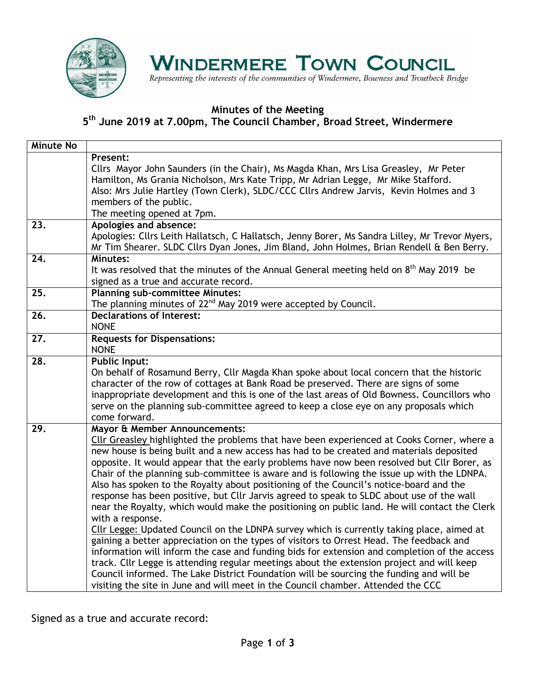

## **WINDERMERE TOWN COUNCIL**

Representing the interests of the communities of Windermere, Bowness and Troutbeck Bridge

#### **Minutes of the Meeting**

**5 th June 2019 at 7.00pm, The Council Chamber, Broad Street, Windermere**

| <b>Minute No</b>  |                                                                                                                                                                                                                                                                                                                                                                                                                                                                                                                                                                                                                                                                                                                                                                                                                                                                                                                                                                                                                                                                                                                                                                                                                                                                                                    |
|-------------------|----------------------------------------------------------------------------------------------------------------------------------------------------------------------------------------------------------------------------------------------------------------------------------------------------------------------------------------------------------------------------------------------------------------------------------------------------------------------------------------------------------------------------------------------------------------------------------------------------------------------------------------------------------------------------------------------------------------------------------------------------------------------------------------------------------------------------------------------------------------------------------------------------------------------------------------------------------------------------------------------------------------------------------------------------------------------------------------------------------------------------------------------------------------------------------------------------------------------------------------------------------------------------------------------------|
|                   | Present:<br>Cllrs Mayor John Saunders (in the Chair), Ms Magda Khan, Mrs Lisa Greasley, Mr Peter<br>Hamilton, Ms Grania Nicholson, Mrs Kate Tripp, Mr Adrian Legge, Mr Mike Stafford.<br>Also: Mrs Julie Hartley (Town Clerk), SLDC/CCC Cllrs Andrew Jarvis, Kevin Holmes and 3<br>members of the public.<br>The meeting opened at 7pm.                                                                                                                                                                                                                                                                                                                                                                                                                                                                                                                                                                                                                                                                                                                                                                                                                                                                                                                                                            |
| 23.               | Apologies and absence:<br>Apologies: Cllrs Leith Hallatsch, C Hallatsch, Jenny Borer, Ms Sandra Lilley, Mr Trevor Myers,<br>Mr Tim Shearer. SLDC Cllrs Dyan Jones, Jim Bland, John Holmes, Brian Rendell & Ben Berry.                                                                                                                                                                                                                                                                                                                                                                                                                                                                                                                                                                                                                                                                                                                                                                                                                                                                                                                                                                                                                                                                              |
| 24.               | Minutes:<br>It was resolved that the minutes of the Annual General meeting held on $8th$ May 2019 be<br>signed as a true and accurate record.                                                                                                                                                                                                                                                                                                                                                                                                                                                                                                                                                                                                                                                                                                                                                                                                                                                                                                                                                                                                                                                                                                                                                      |
| $\overline{25}$ . | <b>Planning sub-committee Minutes:</b><br>The planning minutes of 22 <sup>nd</sup> May 2019 were accepted by Council.                                                                                                                                                                                                                                                                                                                                                                                                                                                                                                                                                                                                                                                                                                                                                                                                                                                                                                                                                                                                                                                                                                                                                                              |
| 26.               | <b>Declarations of Interest:</b><br><b>NONE</b>                                                                                                                                                                                                                                                                                                                                                                                                                                                                                                                                                                                                                                                                                                                                                                                                                                                                                                                                                                                                                                                                                                                                                                                                                                                    |
| 27.               | <b>Requests for Dispensations:</b><br><b>NONE</b>                                                                                                                                                                                                                                                                                                                                                                                                                                                                                                                                                                                                                                                                                                                                                                                                                                                                                                                                                                                                                                                                                                                                                                                                                                                  |
| 28.               | <b>Public Input:</b><br>On behalf of Rosamund Berry, Cllr Magda Khan spoke about local concern that the historic<br>character of the row of cottages at Bank Road be preserved. There are signs of some<br>inappropriate development and this is one of the last areas of Old Bowness. Councillors who<br>serve on the planning sub-committee agreed to keep a close eye on any proposals which<br>come forward.                                                                                                                                                                                                                                                                                                                                                                                                                                                                                                                                                                                                                                                                                                                                                                                                                                                                                   |
| 29.               | Mayor & Member Announcements:<br>Cllr Greasley highlighted the problems that have been experienced at Cooks Corner, where a<br>new house is being built and a new access has had to be created and materials deposited<br>opposite. It would appear that the early problems have now been resolved but Cllr Borer, as<br>Chair of the planning sub-committee is aware and is following the issue up with the LDNPA.<br>Also has spoken to the Royalty about positioning of the Council's notice-board and the<br>response has been positive, but Cllr Jarvis agreed to speak to SLDC about use of the wall<br>near the Royalty, which would make the positioning on public land. He will contact the Clerk<br>with a response.<br>Cllr Legge: Updated Council on the LDNPA survey which is currently taking place, aimed at<br>gaining a better appreciation on the types of visitors to Orrest Head. The feedback and<br>information will inform the case and funding bids for extension and completion of the access<br>track. Cllr Legge is attending regular meetings about the extension project and will keep<br>Council informed. The Lake District Foundation will be sourcing the funding and will be<br>visiting the site in June and will meet in the Council chamber. Attended the CCC |

Signed as a true and accurate record: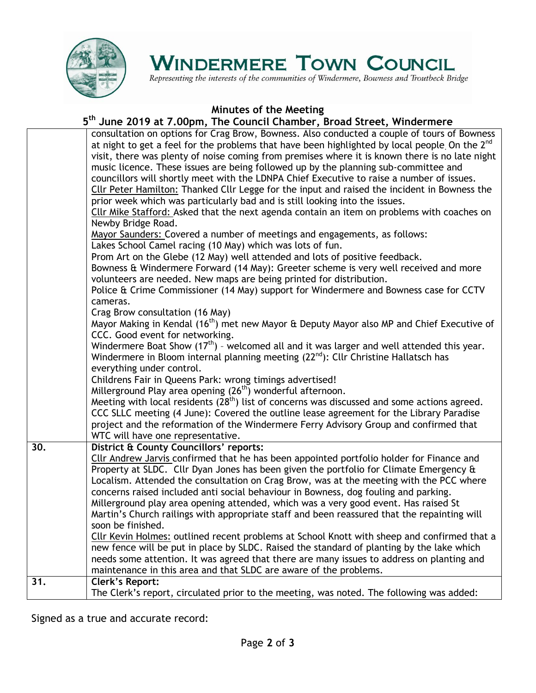

# **WINDERMERE TOWN COUNCIL**

Representing the interests of the communities of Windermere, Bowness and Troutbeck Bridge

### **Minutes of the Meeting**

#### **5 th June 2019 at 7.00pm, The Council Chamber, Broad Street, Windermere**

|     | consultation on options for Crag Brow, Bowness. Also conducted a couple of tours of Bowness<br>at night to get a feel for the problems that have been highlighted by local people On the 2 <sup>nd</sup><br>visit, there was plenty of noise coming from premises where it is known there is no late night |
|-----|------------------------------------------------------------------------------------------------------------------------------------------------------------------------------------------------------------------------------------------------------------------------------------------------------------|
|     | music licence. These issues are being followed up by the planning sub-committee and                                                                                                                                                                                                                        |
|     | councillors will shortly meet with the LDNPA Chief Executive to raise a number of issues.<br>Cllr Peter Hamilton: Thanked Cllr Legge for the input and raised the incident in Bowness the                                                                                                                  |
|     | prior week which was particularly bad and is still looking into the issues.                                                                                                                                                                                                                                |
|     | Cllr Mike Stafford: Asked that the next agenda contain an item on problems with coaches on                                                                                                                                                                                                                 |
|     | Newby Bridge Road.                                                                                                                                                                                                                                                                                         |
|     | Mayor Saunders: Covered a number of meetings and engagements, as follows:                                                                                                                                                                                                                                  |
|     | Lakes School Camel racing (10 May) which was lots of fun.                                                                                                                                                                                                                                                  |
|     | Prom Art on the Glebe (12 May) well attended and lots of positive feedback.<br>Bowness & Windermere Forward (14 May): Greeter scheme is very well received and more                                                                                                                                        |
|     | volunteers are needed. New maps are being printed for distribution.                                                                                                                                                                                                                                        |
|     | Police & Crime Commissioner (14 May) support for Windermere and Bowness case for CCTV                                                                                                                                                                                                                      |
|     | cameras.                                                                                                                                                                                                                                                                                                   |
|     | Crag Brow consultation (16 May)                                                                                                                                                                                                                                                                            |
|     | Mayor Making in Kendal (16 <sup>th</sup> ) met new Mayor & Deputy Mayor also MP and Chief Executive of                                                                                                                                                                                                     |
|     | CCC. Good event for networking.                                                                                                                                                                                                                                                                            |
|     | Windermere Boat Show $(17th)$ - welcomed all and it was larger and well attended this year.<br>Windermere in Bloom internal planning meeting (22 <sup>nd</sup> ): Cllr Christine Hallatsch has                                                                                                             |
|     | everything under control.                                                                                                                                                                                                                                                                                  |
|     | Childrens Fair in Queens Park: wrong timings advertised!                                                                                                                                                                                                                                                   |
|     | Millerground Play area opening (26 <sup>th</sup> ) wonderful afternoon.                                                                                                                                                                                                                                    |
|     | Meeting with local residents (28 <sup>th</sup> ) list of concerns was discussed and some actions agreed.                                                                                                                                                                                                   |
|     | CCC SLLC meeting (4 June): Covered the outline lease agreement for the Library Paradise                                                                                                                                                                                                                    |
|     | project and the reformation of the Windermere Ferry Advisory Group and confirmed that                                                                                                                                                                                                                      |
|     | WTC will have one representative.                                                                                                                                                                                                                                                                          |
| 30. | District & County Councillors' reports:<br>Cllr Andrew Jarvis confirmed that he has been appointed portfolio holder for Finance and                                                                                                                                                                        |
|     | Property at SLDC. Cllr Dyan Jones has been given the portfolio for Climate Emergency &                                                                                                                                                                                                                     |
|     | Localism. Attended the consultation on Crag Brow, was at the meeting with the PCC where                                                                                                                                                                                                                    |
|     | concerns raised included anti social behaviour in Bowness, dog fouling and parking.                                                                                                                                                                                                                        |
|     | Millerground play area opening attended, which was a very good event. Has raised St                                                                                                                                                                                                                        |
|     | Martin's Church railings with appropriate staff and been reassured that the repainting will                                                                                                                                                                                                                |
|     | soon be finished.                                                                                                                                                                                                                                                                                          |
|     | Cllr Kevin Holmes: outlined recent problems at School Knott with sheep and confirmed that a                                                                                                                                                                                                                |
|     | new fence will be put in place by SLDC. Raised the standard of planting by the lake which<br>needs some attention. It was agreed that there are many issues to address on planting and                                                                                                                     |
|     | maintenance in this area and that SLDC are aware of the problems.                                                                                                                                                                                                                                          |
| 31. | <b>Clerk's Report:</b>                                                                                                                                                                                                                                                                                     |
|     | The Clerk's report, circulated prior to the meeting, was noted. The following was added:                                                                                                                                                                                                                   |

Signed as a true and accurate record: